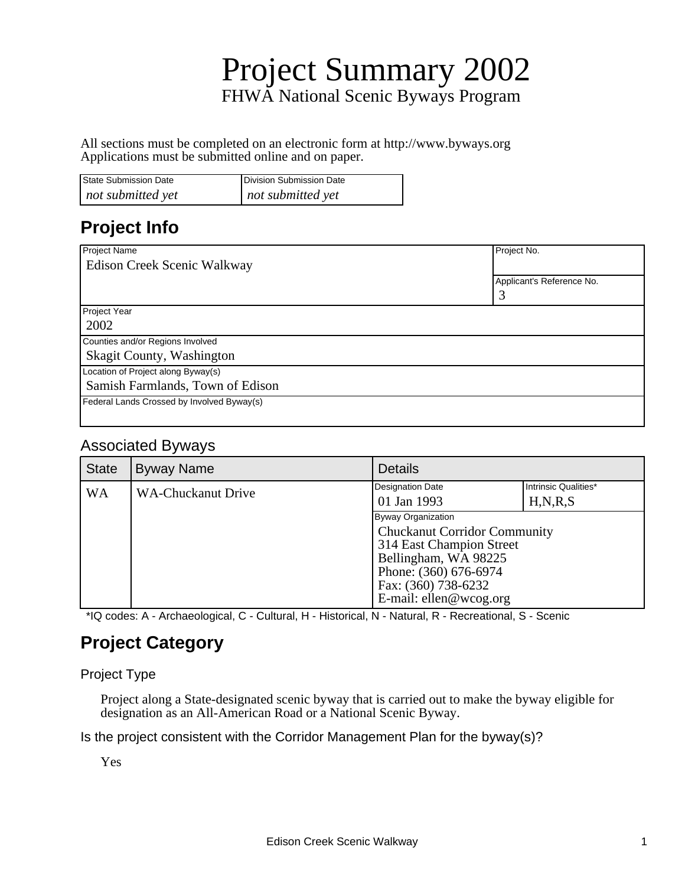# Project Summary 2002 FHWA National Scenic Byways Program

All sections must be completed on an electronic form at http://www.byways.org Applications must be submitted online and on paper.

| <b>State Submission Date</b> | Division Submission Date |
|------------------------------|--------------------------|
| not submitted yet            | not submitted yet        |

#### **Project Info**

| Project Name                               | Project No.               |
|--------------------------------------------|---------------------------|
| Edison Creek Scenic Walkway                |                           |
|                                            | Applicant's Reference No. |
|                                            |                           |
| Project Year                               |                           |
| 2002                                       |                           |
| Counties and/or Regions Involved           |                           |
| Skagit County, Washington                  |                           |
| Location of Project along Byway(s)         |                           |
| Samish Farmlands, Town of Edison           |                           |
| Federal Lands Crossed by Involved Byway(s) |                           |
|                                            |                           |

#### Associated Byways

| <b>State</b> | <b>Byway Name</b>         | <b>Details</b>                                                                                                                                                                          |                                    |
|--------------|---------------------------|-----------------------------------------------------------------------------------------------------------------------------------------------------------------------------------------|------------------------------------|
| <b>WA</b>    | <b>WA-Chuckanut Drive</b> | <b>Designation Date</b><br>01 Jan 1993                                                                                                                                                  | Intrinsic Qualities*<br>H, N, R, S |
|              |                           | Byway Organization<br><b>Chuckanut Corridor Community</b><br>314 East Champion Street<br>Bellingham, WA 98225<br>Phone: (360) 676-6974<br>Fax: (360) 738-6232<br>E-mail: ellen@wcog.org |                                    |

\*IQ codes: A - Archaeological, C - Cultural, H - Historical, N - Natural, R - Recreational, S - Scenic

#### **Project Category**

#### Project Type

Project along a State-designated scenic byway that is carried out to make the byway eligible for designation as an All-American Road or a National Scenic Byway.

Is the project consistent with the Corridor Management Plan for the byway(s)?

Yes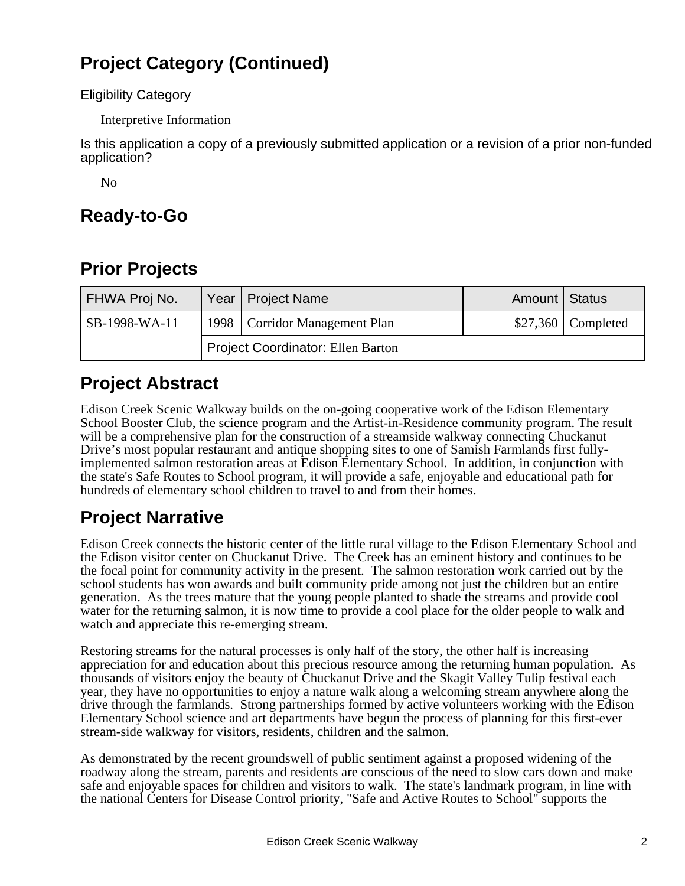## **Project Category (Continued)**

Eligibility Category

Interpretive Information

Is this application a copy of a previously submitted application or a revision of a prior non-funded application?

No

#### **Ready-to-Go**

## **Prior Projects**

| FHWA Proj No. |                                          | Year   Project Name             | Amount   Status |                     |
|---------------|------------------------------------------|---------------------------------|-----------------|---------------------|
| SB-1998-WA-11 |                                          | 1998   Corridor Management Plan |                 | $$27,360$ Completed |
|               | <b>Project Coordinator: Ellen Barton</b> |                                 |                 |                     |

#### **Project Abstract**

Edison Creek Scenic Walkway builds on the on-going cooperative work of the Edison Elementary School Booster Club, the science program and the Artist-in-Residence community program. The result will be a comprehensive plan for the construction of a streamside walkway connecting Chuckanut Drive's most popular restaurant and antique shopping sites to one of Samish Farmlands first fullyimplemented salmon restoration areas at Edison Elementary School. In addition, in conjunction with the state's Safe Routes to School program, it will provide a safe, enjoyable and educational path for hundreds of elementary school children to travel to and from their homes.

## **Project Narrative**

Edison Creek connects the historic center of the little rural village to the Edison Elementary School and the Edison visitor center on Chuckanut Drive. The Creek has an eminent history and continues to be the focal point for community activity in the present. The salmon restoration work carried out by the school students has won awards and built community pride among not just the children but an entire generation. As the trees mature that the young people planted to shade the streams and provide cool water for the returning salmon, it is now time to provide a cool place for the older people to walk and watch and appreciate this re-emerging stream.

Restoring streams for the natural processes is only half of the story, the other half is increasing appreciation for and education about this precious resource among the returning human population. As thousands of visitors enjoy the beauty of Chuckanut Drive and the Skagit Valley Tulip festival each year, they have no opportunities to enjoy a nature walk along a welcoming stream anywhere along the drive through the farmlands. Strong partnerships formed by active volunteers working with the Edison Elementary School science and art departments have begun the process of planning for this first-ever stream-side walkway for visitors, residents, children and the salmon.

As demonstrated by the recent groundswell of public sentiment against a proposed widening of the roadway along the stream, parents and residents are conscious of the need to slow cars down and make safe and enjoyable spaces for children and visitors to walk. The state's landmark program, in line with the national Centers for Disease Control priority, "Safe and Active Routes to School" supports the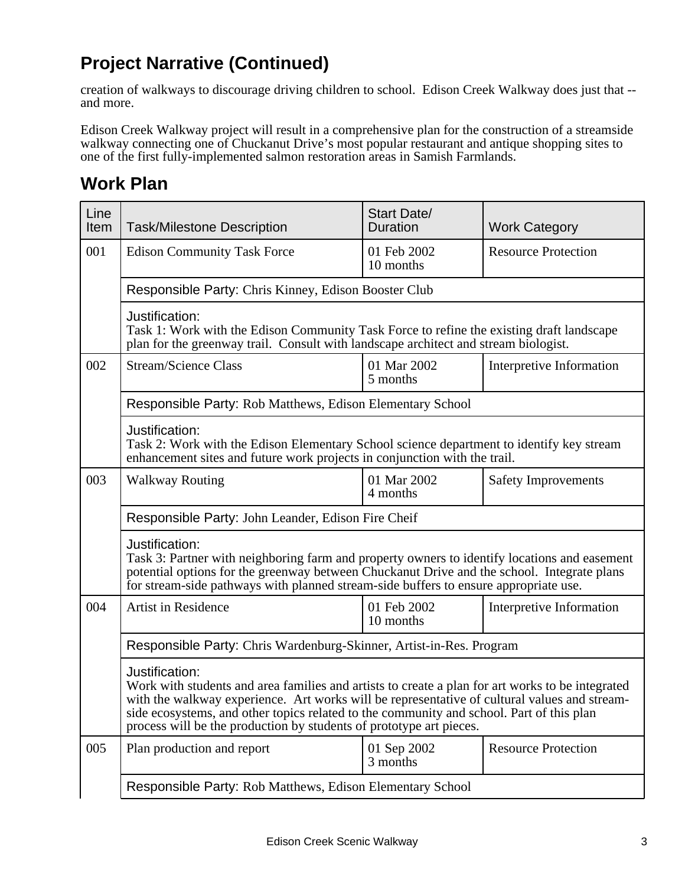#### **Project Narrative (Continued)**

creation of walkways to discourage driving children to school. Edison Creek Walkway does just that - and more.

Edison Creek Walkway project will result in a comprehensive plan for the construction of a streamside walkway connecting one of Chuckanut Drive's most popular restaurant and antique shopping sites to one of the first fully-implemented salmon restoration areas in Samish Farmlands.

#### **Work Plan**

| Line<br>Item | <b>Task/Milestone Description</b>                                                                                                                                                                                                                                                                                                                                                     | <b>Start Date/</b><br><b>Duration</b> | <b>Work Category</b>       |
|--------------|---------------------------------------------------------------------------------------------------------------------------------------------------------------------------------------------------------------------------------------------------------------------------------------------------------------------------------------------------------------------------------------|---------------------------------------|----------------------------|
| 001          | <b>Edison Community Task Force</b>                                                                                                                                                                                                                                                                                                                                                    | 01 Feb 2002<br>10 months              | <b>Resource Protection</b> |
|              | Responsible Party: Chris Kinney, Edison Booster Club                                                                                                                                                                                                                                                                                                                                  |                                       |                            |
|              | Justification:<br>Task 1: Work with the Edison Community Task Force to refine the existing draft landscape<br>plan for the greenway trail. Consult with landscape architect and stream biologist.                                                                                                                                                                                     |                                       |                            |
| 002          | <b>Stream/Science Class</b>                                                                                                                                                                                                                                                                                                                                                           | 01 Mar 2002<br>5 months               | Interpretive Information   |
|              | Responsible Party: Rob Matthews, Edison Elementary School                                                                                                                                                                                                                                                                                                                             |                                       |                            |
|              | Justification:<br>Task 2: Work with the Edison Elementary School science department to identify key stream<br>enhancement sites and future work projects in conjunction with the trail.                                                                                                                                                                                               |                                       |                            |
| 003          | <b>Walkway Routing</b>                                                                                                                                                                                                                                                                                                                                                                | 01 Mar 2002<br>4 months               | <b>Safety Improvements</b> |
|              | Responsible Party: John Leander, Edison Fire Cheif                                                                                                                                                                                                                                                                                                                                    |                                       |                            |
|              | Justification:<br>Task 3: Partner with neighboring farm and property owners to identify locations and easement<br>potential options for the greenway between Chuckanut Drive and the school. Integrate plans<br>for stream-side pathways with planned stream-side buffers to ensure appropriate use.                                                                                  |                                       |                            |
| 004          | Artist in Residence                                                                                                                                                                                                                                                                                                                                                                   | 01 Feb 2002<br>10 months              | Interpretive Information   |
|              | Responsible Party: Chris Wardenburg-Skinner, Artist-in-Res. Program                                                                                                                                                                                                                                                                                                                   |                                       |                            |
|              | Justification:<br>Work with students and area families and artists to create a plan for art works to be integrated<br>with the walkway experience. Art works will be representative of cultural values and stream-<br>side ecosystems, and other topics related to the community and school. Part of this plan<br>process will be the production by students of prototype art pieces. |                                       |                            |
| 005          | Plan production and report                                                                                                                                                                                                                                                                                                                                                            | 01 Sep 2002<br>3 months               | <b>Resource Protection</b> |
|              | Responsible Party: Rob Matthews, Edison Elementary School                                                                                                                                                                                                                                                                                                                             |                                       |                            |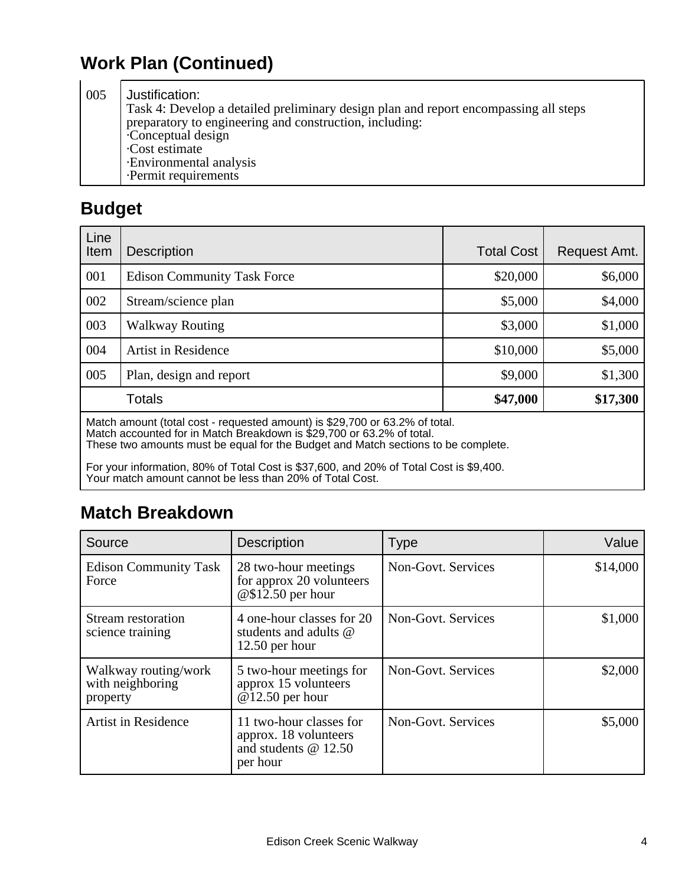## **Work Plan (Continued)**

005 Justification: Task 4: Develop a detailed preliminary design plan and report encompassing all steps preparatory to engineering and construction, including: · Conceptual design · Cost estimate · Environmental analysis · Permit requirements

## **Budget**

| Line<br>Item | <b>Description</b>                                                         | <b>Total Cost</b> | Request Amt. |
|--------------|----------------------------------------------------------------------------|-------------------|--------------|
| 001          | <b>Edison Community Task Force</b>                                         | \$20,000          | \$6,000      |
| 002          | Stream/science plan                                                        | \$5,000           | \$4,000      |
| 003          | <b>Walkway Routing</b>                                                     | \$3,000           | \$1,000      |
| 004          | <b>Artist in Residence</b>                                                 | \$10,000          | \$5,000      |
| 005          | Plan, design and report                                                    | \$9,000           | \$1,300      |
|              | Totals                                                                     | \$47,000          | \$17,300     |
|              | Match amount (total cost - requested amount) is \$20,700 or 63,2% of total |                   |              |

Match amount (total cost - requested amount) is \$29,700 or 63.2% of total. Match accounted for in Match Breakdown is \$29,700 or 63.2% of total. These two amounts must be equal for the Budget and Match sections to be complete.

For your information, 80% of Total Cost is \$37,600, and 20% of Total Cost is \$9,400. Your match amount cannot be less than 20% of Total Cost.

## **Match Breakdown**

| Source                                               | <b>Description</b>                                                                    | <b>Type</b>        | Value    |
|------------------------------------------------------|---------------------------------------------------------------------------------------|--------------------|----------|
| <b>Edison Community Task</b><br>Force                | 28 two-hour meetings<br>for approx 20 volunteers<br>$@$12.50$ per hour                | Non-Govt. Services | \$14,000 |
| Stream restoration<br>science training               | 4 one-hour classes for 20<br>students and adults @<br>$12.50$ per hour                | Non-Govt. Services | \$1,000  |
| Walkway routing/work<br>with neighboring<br>property | 5 two-hour meetings for<br>approx 15 volunteers<br>$@12.50$ per hour                  | Non-Govt. Services | \$2,000  |
| <b>Artist in Residence</b>                           | 11 two-hour classes for<br>approx. 18 volunteers<br>and students $@12.50$<br>per hour | Non-Govt. Services | \$5,000  |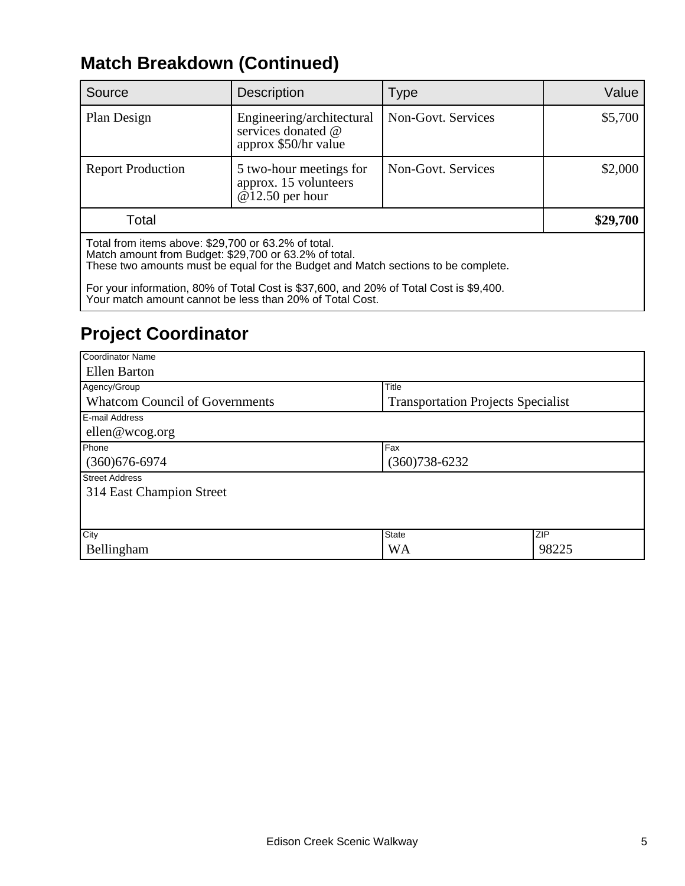## **Match Breakdown (Continued)**

| Source                                                                                                       | <b>Description</b>                                                                                                                                                                                                                      | <b>Type</b>        | Value    |
|--------------------------------------------------------------------------------------------------------------|-----------------------------------------------------------------------------------------------------------------------------------------------------------------------------------------------------------------------------------------|--------------------|----------|
| Plan Design                                                                                                  | Engineering/architectural<br>services donated @<br>approx \$50/hr value                                                                                                                                                                 | Non-Govt. Services | \$5,700  |
| <b>Report Production</b>                                                                                     | 5 two-hour meetings for<br>approx. 15 volunteers<br>$@12.50$ per hour                                                                                                                                                                   | Non-Govt. Services | \$2,000  |
| Total                                                                                                        |                                                                                                                                                                                                                                         |                    | \$29,700 |
| Total from items above: \$29,700 or 63.2% of total.<br>Match amount from Budget: \$29,700 or 63.2% of total. | These two amounts must be equal for the Budget and Match sections to be complete.<br>For your information, 80% of Total Cost is \$37,600, and 20% of Total Cost is \$9,400.<br>Your match amount cannot be less than 20% of Total Cost. |                    |          |

## **Project Coordinator**

| Coordinator Name                       |                                           |       |
|----------------------------------------|-------------------------------------------|-------|
| Ellen Barton                           |                                           |       |
| Agency/Group                           | Title                                     |       |
| <b>Whatcom Council of Governments</b>  | <b>Transportation Projects Specialist</b> |       |
| E-mail Address                         |                                           |       |
| ellen@wcog.org                         |                                           |       |
| Phone                                  | Fax                                       |       |
| $(360)676 - 6974$<br>$(360)738 - 6232$ |                                           |       |
| <b>Street Address</b>                  |                                           |       |
| 314 East Champion Street               |                                           |       |
|                                        |                                           |       |
|                                        |                                           |       |
| City                                   | State                                     | ZIP   |
| Bellingham                             | <b>WA</b>                                 | 98225 |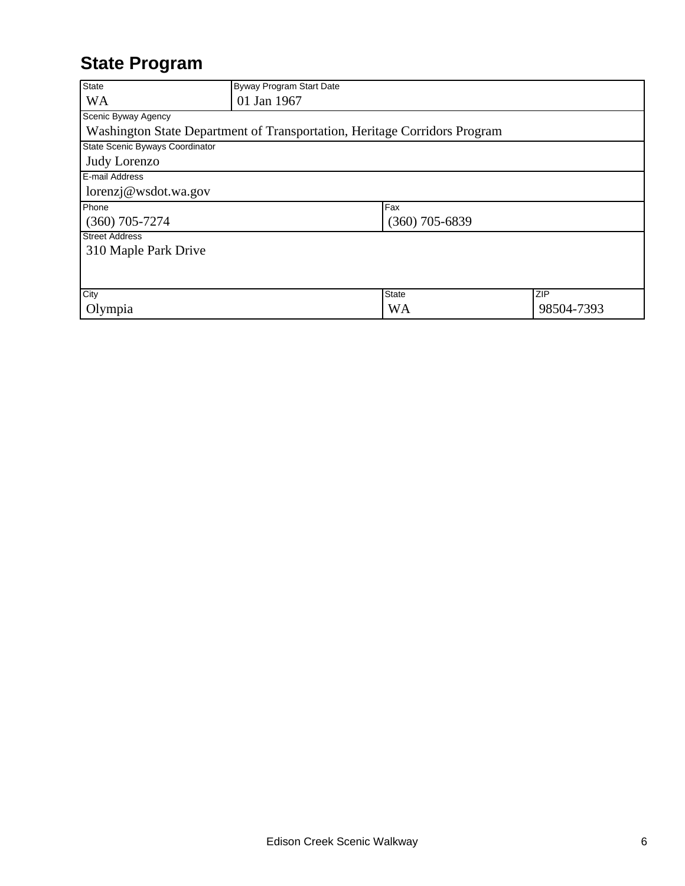## **State Program**

| <b>State</b>                    | Byway Program Start Date                                                  |           |            |
|---------------------------------|---------------------------------------------------------------------------|-----------|------------|
| <b>WA</b>                       | 01 Jan 1967                                                               |           |            |
| Scenic Byway Agency             |                                                                           |           |            |
|                                 | Washington State Department of Transportation, Heritage Corridors Program |           |            |
| State Scenic Byways Coordinator |                                                                           |           |            |
| Judy Lorenzo                    |                                                                           |           |            |
| E-mail Address                  |                                                                           |           |            |
| lorenzj@wsdot.wa.gov            |                                                                           |           |            |
| Phone                           |                                                                           | Fax       |            |
| $(360)$ 705-7274                | $(360)$ 705-6839                                                          |           |            |
| <b>Street Address</b>           |                                                                           |           |            |
| 310 Maple Park Drive            |                                                                           |           |            |
|                                 |                                                                           |           |            |
|                                 |                                                                           |           |            |
| City                            |                                                                           | State     | <b>ZIP</b> |
| Olympia                         |                                                                           | <b>WA</b> | 98504-7393 |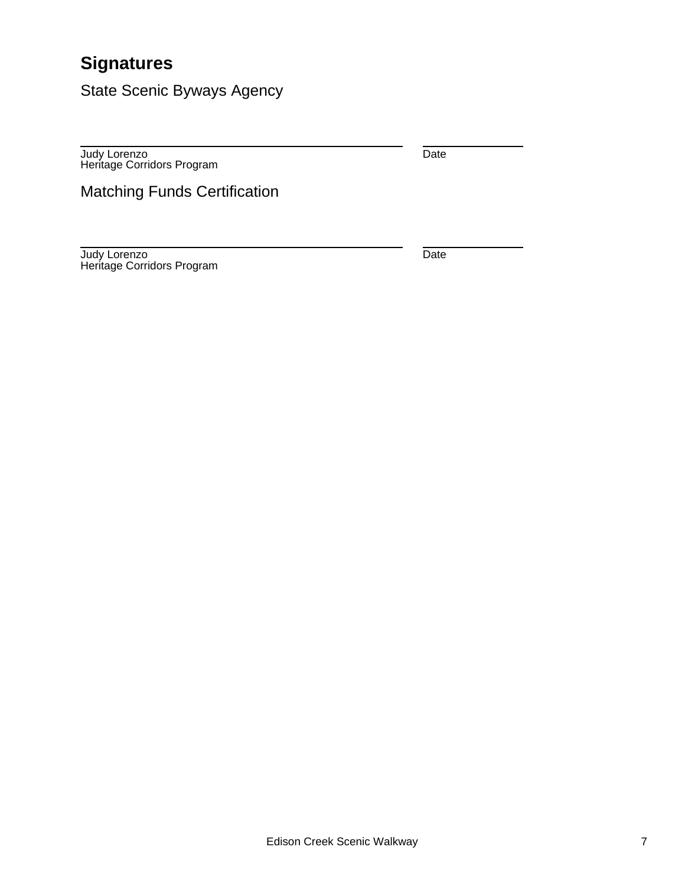## **Signatures**

State Scenic Byways Agency

Judy Lorenzo Heritage Corridors Program Date

Matching Funds Certification

Judy Lorenzo Heritage Corridors Program Date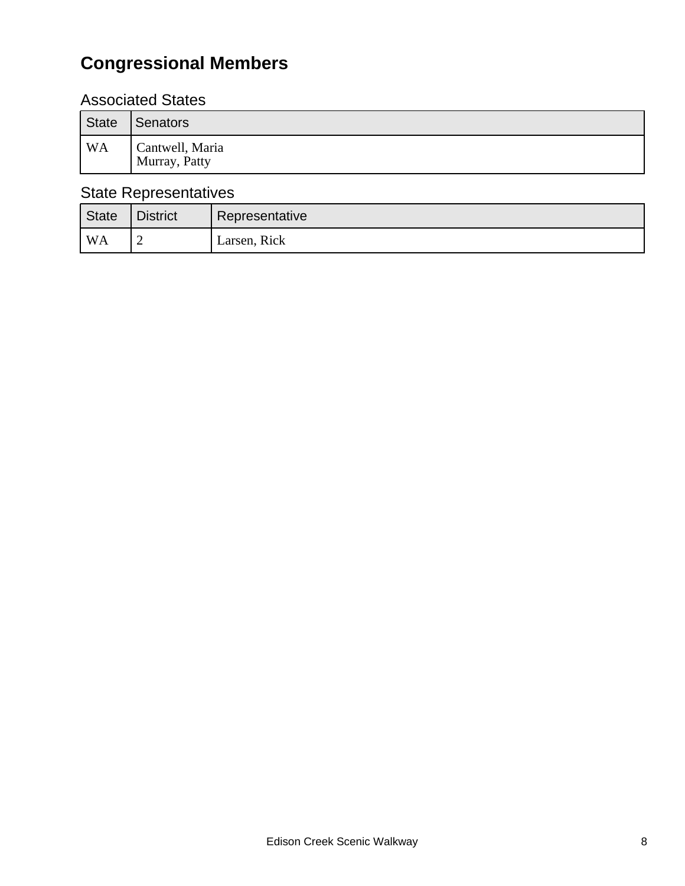## **Congressional Members**

#### Associated States

| State          | Senators                         |
|----------------|----------------------------------|
| WA <sup></sup> | Cantwell, Maria<br>Murray, Patty |

#### State Representatives

| State              | <b>District</b> | Representative |
|--------------------|-----------------|----------------|
| $^{\mathsf{I}}$ WA |                 | Larsen, Rick   |